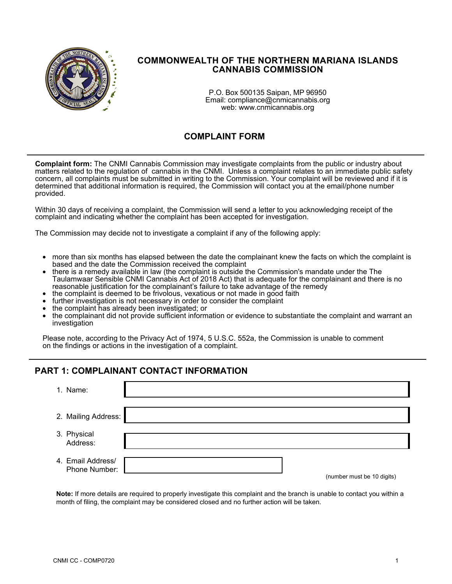

### **COMMONWEALTH OF THE NORTHERN MARIANA ISLANDS CANNABIS COMMISSION**

P.O. Box 500135 Saipan, MP 96950 Email: compliance@cnmicannabis.org web: www.cnmicannabis.org

## **COMPLAINT FORM**

**Complaint form:** The CNMI Cannabis Commission may investigate complaints from the public or industry about matters related to the regulation of cannabis in the CNMI. Unless a complaint relates to an immediate public safety concern, all complaints must be submitted in writing to the Commission. Your complaint will be reviewed and if it is determined that additional information is required, the Commission will contact you at the email/phone number provided.

Within 30 days of receiving a complaint, the Commission will send a letter to you acknowledging receipt of the complaint and indicating whether the complaint has been accepted for investigation.

The Commission may decide not to investigate a complaint if any of the following apply:

- more than six months has elapsed between the date the complainant knew the facts on which the complaint is based and the date the Commission received the complaint
- there is a remedy available in law (the complaint is outside the Commission's mandate under the The Taulamwaar Sensible CNMI Cannabis Act of 2018 Act) that is adequate for the complainant and there is no reasonable justification for the complainant's failure to take advantage of the remedy
- the complaint is deemed to be frivolous, vexatious or not made in good faith
- further investigation is not necessary in order to consider the complaint
- the complaint has already been investigated; or
- the complainant did not provide sufficient information or evidence to substantiate the complaint and warrant an investigation

Please note, according to the Privacy Act of 1974, 5 U.S.C. 552a, the Commission is unable to comment on the findings or actions in the investigation of a complaint.

#### **PART 1: COMPLAINANT CONTACT INFORMATION**

| 1. Name:                           |                                                                                |
|------------------------------------|--------------------------------------------------------------------------------|
| 2. Mailing Address:                |                                                                                |
| 3. Physical<br>Address:            |                                                                                |
| 4. Email Address/<br>Phone Number: | $\ell$ and a set of the set of $\Lambda$ $\Lambda$ and $\Lambda$ and $\Lambda$ |

(number must be 10 digits)

**Note:** If more details are required to properly investigate this complaint and the branch is unable to contact you within a month of filing, the complaint may be considered closed and no further action will be taken.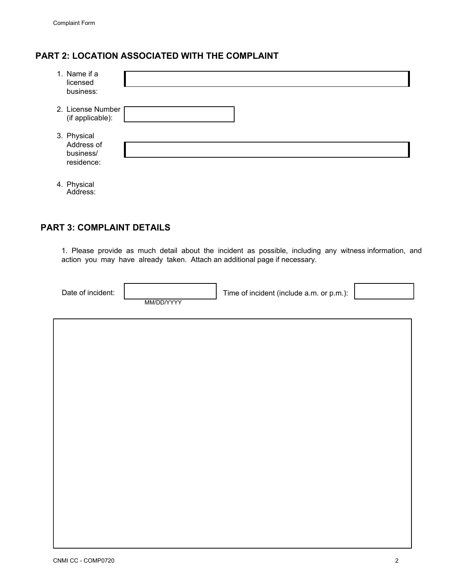## **PART 2: LOCATION ASSOCIATED WITH THE COMPLAINT**

| 1. Name if a<br>licensed<br>business:                |  |
|------------------------------------------------------|--|
| 2. License Number<br>(if applicable):                |  |
| 3. Physical<br>Address of<br>business/<br>residence: |  |
|                                                      |  |

4. Physical Address:

## **PART 3: COMPLAINT DETAILS**

1. Please provide as much detail about the incident as possible, including any witness information, and action you may have already taken. Attach an additional page if necessary.

| Date of incident: |            | Time of incident (include a.m. or p.m.): |  |
|-------------------|------------|------------------------------------------|--|
|                   | MM/DD/YYYY |                                          |  |